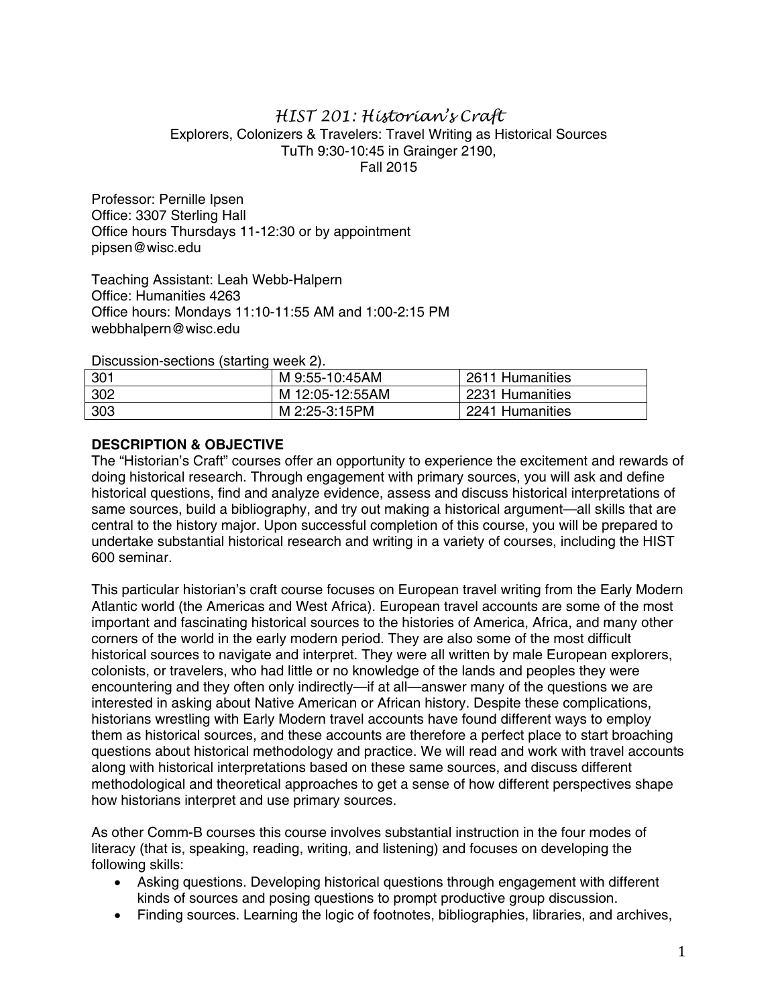## *HIST 201: Historian's Craft*  Explorers, Colonizers & Travelers: Travel Writing as Historical Sources TuTh 9:30-10:45 in Grainger 2190, Fall 2015

Professor: Pernille Ipsen Office: 3307 Sterling Hall Office hours Thursdays 11-12:30 or by appointment pipsen@wisc.edu

Teaching Assistant: Leah Webb-Halpern Office: Humanities 4263 Office hours: Mondays 11:10-11:55 AM and 1:00-2:15 PM webbhalpern@wisc.edu

Discussion-sections (starting week 2).

| 301 | M 9:55-10:45AM  | 2611 Humanities |
|-----|-----------------|-----------------|
| 302 | M 12:05-12:55AM | 2231 Humanities |
| 303 | M 2:25-3:15PM   | 2241 Humanities |

## **DESCRIPTION & OBJECTIVE**

The "Historian's Craft" courses offer an opportunity to experience the excitement and rewards of doing historical research. Through engagement with primary sources, you will ask and define historical questions, find and analyze evidence, assess and discuss historical interpretations of same sources, build a bibliography, and try out making a historical argument—all skills that are central to the history major. Upon successful completion of this course, you will be prepared to undertake substantial historical research and writing in a variety of courses, including the HIST 600 seminar.

This particular historian's craft course focuses on European travel writing from the Early Modern Atlantic world (the Americas and West Africa). European travel accounts are some of the most important and fascinating historical sources to the histories of America, Africa, and many other corners of the world in the early modern period. They are also some of the most difficult historical sources to navigate and interpret. They were all written by male European explorers, colonists, or travelers, who had little or no knowledge of the lands and peoples they were encountering and they often only indirectly—if at all—answer many of the questions we are interested in asking about Native American or African history. Despite these complications, historians wrestling with Early Modern travel accounts have found different ways to employ them as historical sources, and these accounts are therefore a perfect place to start broaching questions about historical methodology and practice. We will read and work with travel accounts along with historical interpretations based on these same sources, and discuss different methodological and theoretical approaches to get a sense of how different perspectives shape how historians interpret and use primary sources.

As other Comm-B courses this course involves substantial instruction in the four modes of literacy (that is, speaking, reading, writing, and listening) and focuses on developing the following skills:

- Asking questions. Developing historical questions through engagement with different kinds of sources and posing questions to prompt productive group discussion.
- Finding sources. Learning the logic of footnotes, bibliographies, libraries, and archives,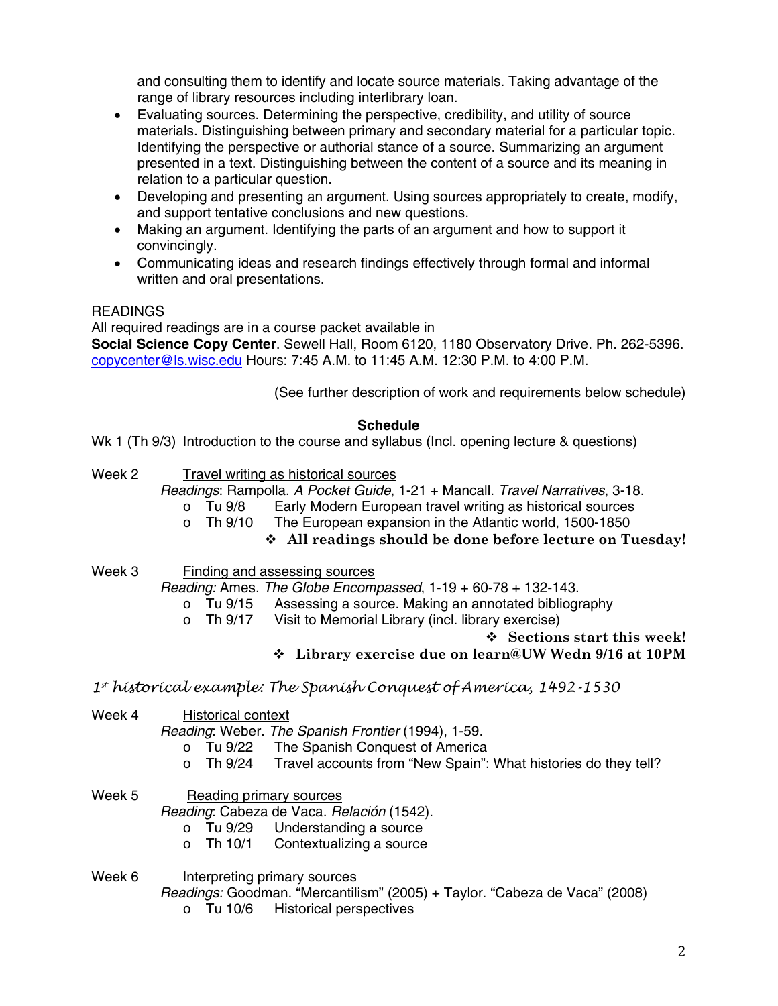and consulting them to identify and locate source materials. Taking advantage of the range of library resources including interlibrary loan.

- Evaluating sources. Determining the perspective, credibility, and utility of source materials. Distinguishing between primary and secondary material for a particular topic. Identifying the perspective or authorial stance of a source. Summarizing an argument presented in a text. Distinguishing between the content of a source and its meaning in relation to a particular question.
- Developing and presenting an argument. Using sources appropriately to create, modify, and support tentative conclusions and new questions.
- Making an argument. Identifying the parts of an argument and how to support it convincingly.
- Communicating ideas and research findings effectively through formal and informal written and oral presentations.

# **READINGS**

All required readings are in a course packet available in

**Social Science Copy Center**. Sewell Hall, Room 6120, 1180 Observatory Drive. Ph. 262-5396. copycenter@ls.wisc.edu Hours: 7:45 A.M. to 11:45 A.M. 12:30 P.M. to 4:00 P.M.

(See further description of work and requirements below schedule)

# **Schedule**

Wk 1 (Th 9/3) Introduction to the course and syllabus (Incl. opening lecture & questions)

- Week 2 Travel writing as historical sources
	- *Readings*: Rampolla. *A Pocket Guide*, 1-21 + Mancall. *Travel Narratives*, 3-18.
		- o Tu 9/8 Early Modern European travel writing as historical sources
		- o Th 9/10 The European expansion in the Atlantic world, 1500-1850
			- **All readings should be done before lecture on Tuesday!**
- Week 3 Finding and assessing sources

*Reading:* Ames. *The Globe Encompassed*, 1-19 + 60-78 + 132-143.

- o Tu 9/15 Assessing a source. Making an annotated bibliography<br>
o Th 9/17 Visit to Memorial Library (incl. library exercise)
- Visit to Memorial Library (incl. library exercise)

## **Sections start this week!**

# **Library exercise due on learn@UW Wedn 9/16 at 10PM**

*1st historical example: The Spanish Conquest of America, 1492-1530* 

Week 4 Historical context

*Reading*: Weber. *The Spanish Frontier* (1994), 1-59.

- o Tu 9/22 The Spanish Conquest of America<br>o Th 9/24 Travel accounts from "New Spain":
- Travel accounts from "New Spain": What histories do they tell?
- Week 5 Reading primary sources

*Reading*: Cabeza de Vaca. *Relación* (1542).

- o Tu 9/29 Understanding a source<br>o Th 10/1 Contextualizing a source
- Contextualizing a source
- Week 6 Interpreting primary sources *Readings:* Goodman. "Mercantilism" (2005) + Taylor. "Cabeza de Vaca" (2008)
	- o Tu 10/6 Historical perspectives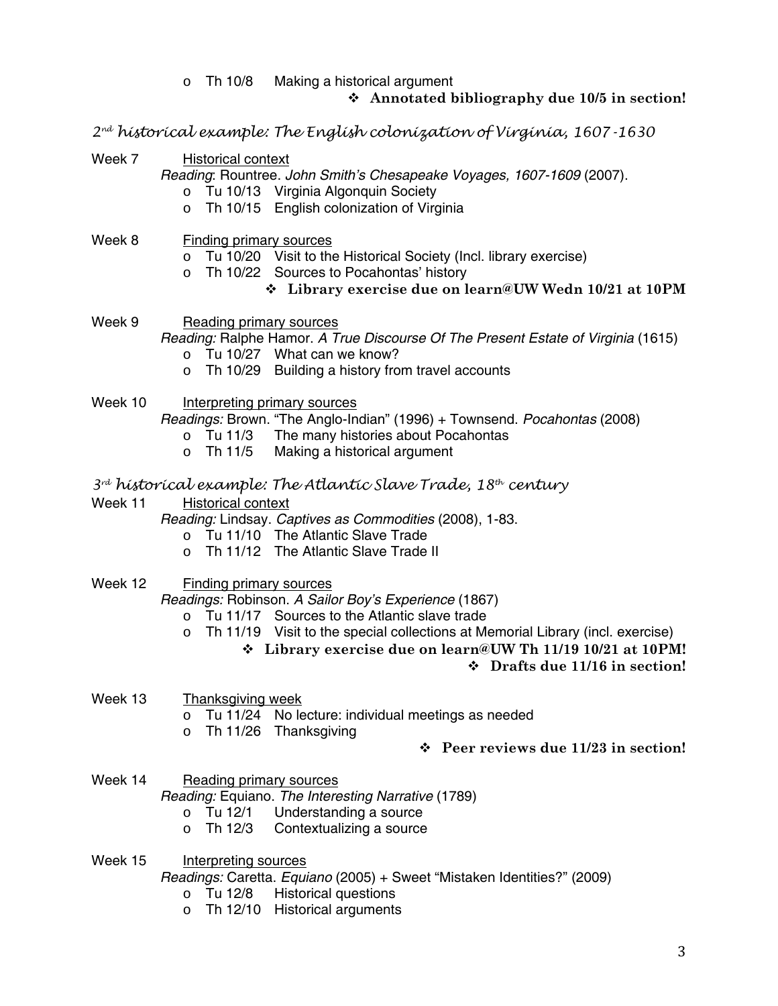o Th 10/8 Making a historical argument

## **Annotated bibliography due 10/5 in section!**

*2nd historical example: The English colonization of Virginia, 1607-1630* 

Week 7 Historical context

*Reading*: Rountree. *John Smith's Chesapeake Voyages, 1607-1609* (2007).

- o Tu 10/13 Virginia Algonquin Society
- o Th 10/15 English colonization of Virginia
- Week 8 Finding primary sources
	- o Tu 10/20 Visit to the Historical Society (Incl. library exercise)
	- o Th 10/22 Sources to Pocahontas' history

## **Library exercise due on learn@UW Wedn 10/21 at 10PM**

Week 9 Reading primary sources

## *Reading:* Ralphe Hamor. *A True Discourse Of The Present Estate of Virginia* (1615)

- o Tu 10/27 What can we know?
- o Th 10/29 Building a history from travel accounts
- Week 10 Interpreting primary sources

*Readings:* Brown. "The Anglo-Indian" (1996) + Townsend. *Pocahontas* (2008)

- o Tu 11/3 The many histories about Pocahontas
- o Th 11/5 Making a historical argument
- *3rd historical example: The Atlantic Slave Trade, 18th century*
- Week 11 Historical context
	- *Reading:* Lindsay. *Captives as Commodities* (2008), 1-83.
		- o Tu 11/10 The Atlantic Slave Trade
		- o Th 11/12 The Atlantic Slave Trade II
- Week 12 Finding primary sources

*Readings:* Robinson. *A Sailor Boy's Experience* (1867)

- o Tu 11/17 Sources to the Atlantic slave trade
- $\circ$  Th 11/19 Visit to the special collections at Memorial Library (incl. exercise)
	- **Library exercise due on learn@UW Th 11/19 10/21 at 10PM!**

## **Drafts due 11/16 in section!**

- Week 13 Thanksgiving week
	- o Tu 11/24 No lecture: individual meetings as needed
	- o Th 11/26 Thanksgiving
- **Peer reviews due 11/23 in section!**
- Week 14 Reading primary sources

*Reading:* Equiano. *The Interesting Narrative* (1789)

- o Tu 12/1 Understanding a source
- o Th 12/3 Contextualizing a source
- Week 15 Interpreting sources

*Readings:* Caretta. *Equiano* (2005) + Sweet "Mistaken Identities?" (2009)

- o Tu 12/8 Historical questions
- o Th 12/10 Historical arguments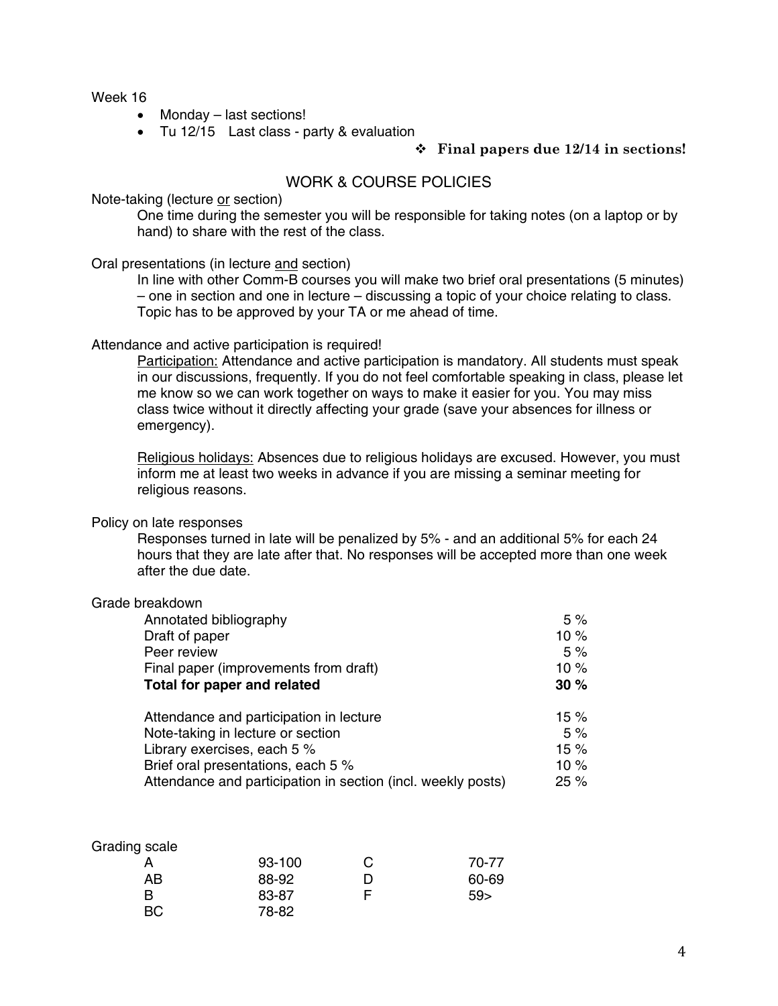Week 16

- Monday last sections!
- Tu 12/15 Last class party & evaluation

#### **Final papers due 12/14 in sections!**

## WORK & COURSE POLICIES

#### Note-taking (lecture or section)

One time during the semester you will be responsible for taking notes (on a laptop or by hand) to share with the rest of the class.

#### Oral presentations (in lecture and section)

In line with other Comm-B courses you will make two brief oral presentations (5 minutes) – one in section and one in lecture – discussing a topic of your choice relating to class. Topic has to be approved by your TA or me ahead of time.

#### Attendance and active participation is required!

Participation: Attendance and active participation is mandatory. All students must speak in our discussions, frequently. If you do not feel comfortable speaking in class, please let me know so we can work together on ways to make it easier for you. You may miss class twice without it directly affecting your grade (save your absences for illness or emergency).

Religious holidays: Absences due to religious holidays are excused. However, you must inform me at least two weeks in advance if you are missing a seminar meeting for religious reasons.

#### Policy on late responses

Responses turned in late will be penalized by 5% - and an additional 5% for each 24 hours that they are late after that. No responses will be accepted more than one week after the due date.

## Grade breakdown

| Annotated bibliography                                       | 5%      |
|--------------------------------------------------------------|---------|
| Draft of paper                                               | 10 $%$  |
| Peer review                                                  | 5%      |
| Final paper (improvements from draft)                        | 10%     |
| Total for paper and related                                  | 30%     |
| Attendance and participation in lecture                      | 15 $%$  |
| Note-taking in lecture or section                            | 5%      |
| Library exercises, each 5 %                                  | 15%     |
| Brief oral presentations, each 5 %                           | 10 $%$  |
| Attendance and participation in section (incl. weekly posts) | $25 \%$ |

| Grading scale |        |   |       |
|---------------|--------|---|-------|
|               | 93-100 | C | 70-77 |
| AВ            | 88-92  |   | 60-69 |
| B             | 83-87  | F | 59    |
| BС            | 78-82  |   |       |